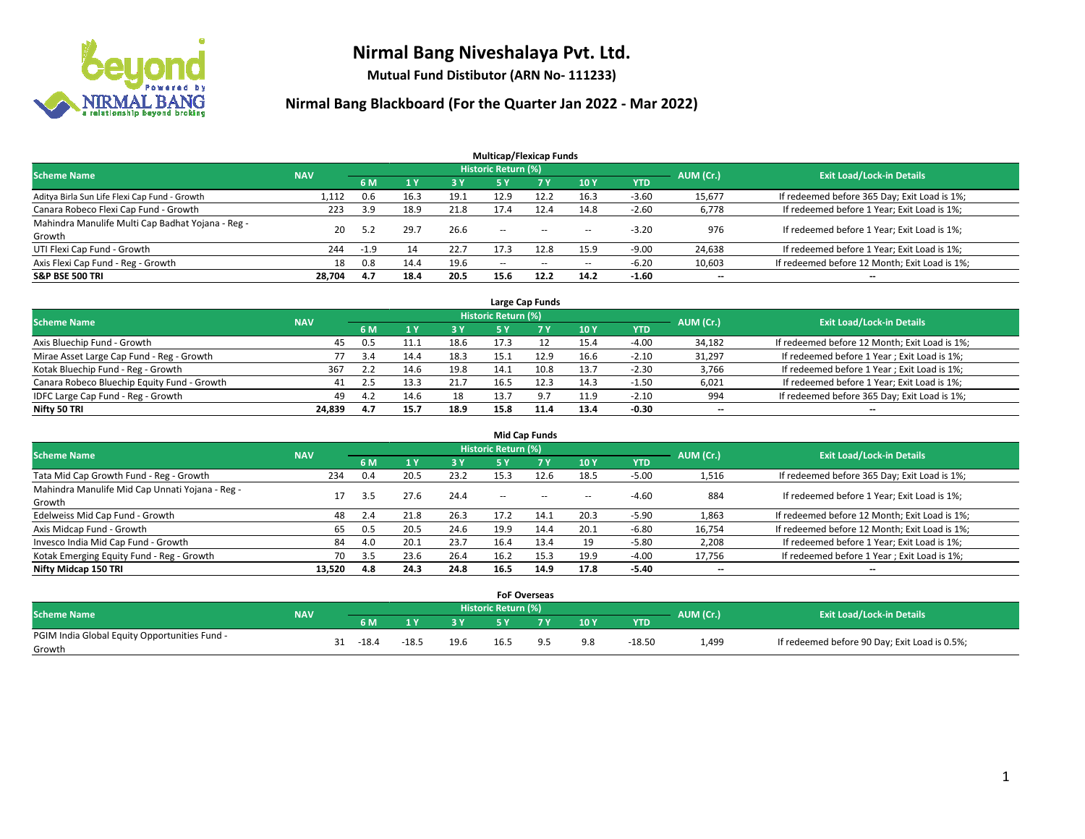

**Mutual Fund Distibutor (ARN No- 111233)**

|                                                   |            |        |      |           | <b>Multicap/Flexicap Funds</b> |            |                          |         |                          |                                               |
|---------------------------------------------------|------------|--------|------|-----------|--------------------------------|------------|--------------------------|---------|--------------------------|-----------------------------------------------|
| <b>Scheme Name</b>                                | <b>NAV</b> |        |      |           | <b>Historic Return (%)</b>     |            |                          |         | AUM (Cr.)                | <b>Exit Load/Lock-in Details</b>              |
|                                                   |            | 6 M    |      | <b>3Y</b> | 5 Y                            | <b>7 Y</b> | 10Y                      | YTD     |                          |                                               |
| Aditya Birla Sun Life Flexi Cap Fund - Growth     | 1,112      | 0.6    | 16.3 | 19.1      | 12.9                           | 12.2       | 16.3                     | $-3.60$ | 15,677                   | If redeemed before 365 Day; Exit Load is 1%;  |
| Canara Robeco Flexi Cap Fund - Growth             | 223        | 3.9    | 18.9 | 21.8      | 17.4                           | 12.4       | 14.8                     | $-2.60$ | 6,778                    | If redeemed before 1 Year; Exit Load is 1%;   |
| Mahindra Manulife Multi Cap Badhat Yojana - Reg - | 20         | 5.2    | 29.7 | 26.6      | $\sim$ $\sim$                  | $-$        |                          | $-3.20$ | 976                      | If redeemed before 1 Year; Exit Load is 1%;   |
| Growth                                            |            |        |      |           |                                |            | $\!-$                    |         |                          |                                               |
| UTI Flexi Cap Fund - Growth                       | 244        | $-1.9$ | 14   | 22.7      | 17.3                           | 12.8       | 15.9                     | $-9.00$ | 24,638                   | If redeemed before 1 Year; Exit Load is 1%;   |
| Axis Flexi Cap Fund - Reg - Growth                | 18         | 0.8    | 14.4 | 19.6      | $\overline{\phantom{a}}$       | $\sim$     | $\overline{\phantom{a}}$ | $-6.20$ | 10,603                   | If redeemed before 12 Month; Exit Load is 1%; |
| <b>S&amp;P BSE 500 TRI</b>                        | 28,704     | 4.7    | 18.4 | 20.5      | 15.6                           | 12.2       | 14.2                     | $-1.60$ | $\overline{\phantom{a}}$ | $\overline{\phantom{a}}$                      |

| Large Cap Funds                             |            |     |      |      |                            |           |      |            |           |                                               |  |  |  |
|---------------------------------------------|------------|-----|------|------|----------------------------|-----------|------|------------|-----------|-----------------------------------------------|--|--|--|
| <b>Scheme Name</b>                          | <b>NAV</b> |     |      |      | <b>Historic Return (%)</b> |           |      |            | AUM (Cr.) | <b>Exit Load/Lock-in Details</b>              |  |  |  |
|                                             |            | 6 M |      | 3 Y  |                            | <b>7Y</b> | 10Y  | <b>YTD</b> |           |                                               |  |  |  |
| Axis Bluechip Fund - Growth                 | 45         | 0.5 | 11.1 | 18.6 | 17.3                       |           | 15.4 | $-4.00$    | 34,182    | If redeemed before 12 Month; Exit Load is 1%; |  |  |  |
| Mirae Asset Large Cap Fund - Reg - Growth   |            | 3.4 | 14.4 | 18.3 | 15.1                       | 12.9      | 16.6 | $-2.10$    | 31,297    | If redeemed before 1 Year; Exit Load is 1%;   |  |  |  |
| Kotak Bluechip Fund - Reg - Growth          | 367        | 2.2 | 14.6 | 19.8 | 14.1                       | 10.8      | 13.7 | $-2.30$    | 3,766     | If redeemed before 1 Year; Exit Load is 1%;   |  |  |  |
| Canara Robeco Bluechip Equity Fund - Growth | 41         | 2.5 |      | 21.7 | 16.5                       | 12.3      | 14.3 | $-1.50$    | 6,021     | If redeemed before 1 Year; Exit Load is 1%;   |  |  |  |
| IDFC Large Cap Fund - Reg - Growth          | 49         | 4.2 | 14.6 | 18   | 13.7                       | : ۹       | 11.9 | $-2.10$    | 994       | If redeemed before 365 Day; Exit Load is 1%;  |  |  |  |
| Nifty 50 TRI                                | 24.839     | 4.7 | 15.7 | 18.9 | 15.8                       | 11.4      | 13.4 | $-0.30$    | $- -$     | $\overline{\phantom{a}}$                      |  |  |  |

| <b>Mid Cap Funds</b>                            |            |      |      |      |                            |           |      |            |                          |                                               |  |  |  |
|-------------------------------------------------|------------|------|------|------|----------------------------|-----------|------|------------|--------------------------|-----------------------------------------------|--|--|--|
| <b>Scheme Name</b>                              | <b>NAV</b> |      |      |      | <b>Historic Return (%)</b> |           |      |            | AUM (Cr.)                | <b>Exit Load/Lock-in Details</b>              |  |  |  |
|                                                 |            | 6 M  |      | 3 Y  | 5 Y                        | <b>7Y</b> | 10Y  | <b>YTD</b> |                          |                                               |  |  |  |
| Tata Mid Cap Growth Fund - Reg - Growth         | 234        | 0.4  | 20.5 | 23.2 | 15.3                       | 12.6      | 18.5 | $-5.00$    | 1,516                    | If redeemed before 365 Day; Exit Load is 1%;  |  |  |  |
| Mahindra Manulife Mid Cap Unnati Yojana - Reg - | 17         | -3.5 | 27.6 | 24.4 | $\sim$                     | $\sim$    | $-$  | $-4.60$    | 884                      | If redeemed before 1 Year; Exit Load is 1%;   |  |  |  |
| Growth                                          |            |      |      |      |                            |           |      |            |                          |                                               |  |  |  |
| Edelweiss Mid Cap Fund - Growth                 | 48         | 2.4  | 21.8 | 26.3 | 17.2                       | 14.1      | 20.3 | $-5.90$    | 1,863                    | If redeemed before 12 Month; Exit Load is 1%; |  |  |  |
| Axis Midcap Fund - Growth                       | 65         | 0.5  | 20.5 | 24.6 | 19.9                       | 14.4      | 20.1 | $-6.80$    | 16,754                   | If redeemed before 12 Month; Exit Load is 1%; |  |  |  |
| Invesco India Mid Cap Fund - Growth             | 84         | 4.0  | 20.1 | 23.7 | 16.4                       | 13.4      | 19   | $-5.80$    | 2,208                    | If redeemed before 1 Year; Exit Load is 1%;   |  |  |  |
| Kotak Emerging Equity Fund - Reg - Growth       | 70         | 3.5  | 23.6 | 26.4 | 16.2                       | 15.3      | 19.9 | $-4.00$    | 17,756                   | If redeemed before 1 Year; Exit Load is 1%;   |  |  |  |
| Nifty Midcap 150 TRI                            | 13.520     | 4.8  | 24.3 | 24.8 | 16.5                       | 14.9      | 17.8 | $-5.40$    | $\overline{\phantom{a}}$ | $-$                                           |  |  |  |

|                                               |            |         |         |      | <b>FoF Overseas</b>        |     |     |          |           |                                               |
|-----------------------------------------------|------------|---------|---------|------|----------------------------|-----|-----|----------|-----------|-----------------------------------------------|
| <b>Scheme Name</b>                            | <b>NAV</b> |         |         |      | <b>Historic Return (%)</b> |     |     |          | AUM (Cr.) | <b>Exit Load/Lock-in Details</b>              |
|                                               |            | 6 M     | ιv      | 3V   |                            | 7 V | 10Y | YTD      |           |                                               |
| PGIM India Global Equity Opportunities Fund - |            | $-18.4$ | $-18.5$ | 19.6 | 16.5                       |     | 9.8 | $-18.50$ | 1,499     | If redeemed before 90 Day; Exit Load is 0.5%; |
| Growth                                        |            |         |         |      |                            |     |     |          |           |                                               |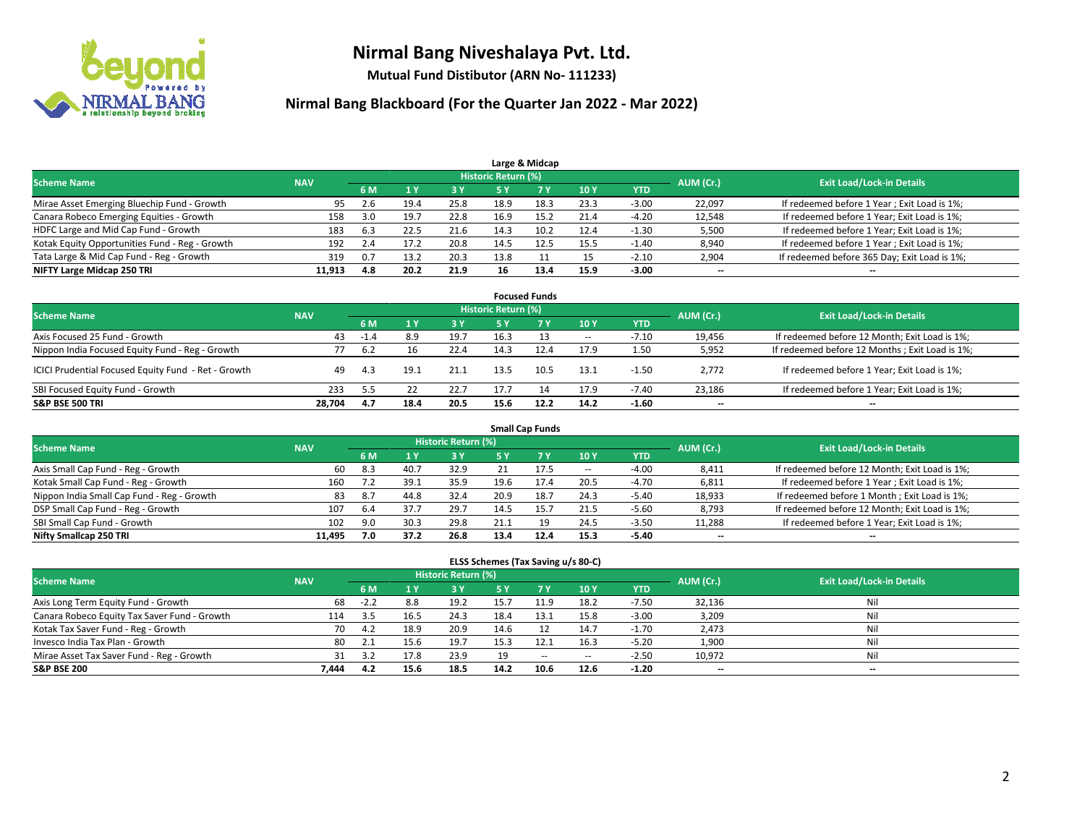

**Mutual Fund Distibutor (ARN No- 111233)**

| Large & Midcap                                 |            |     |      |      |                     |      |      |            |           |                                              |  |  |  |
|------------------------------------------------|------------|-----|------|------|---------------------|------|------|------------|-----------|----------------------------------------------|--|--|--|
| <b>Scheme Name</b>                             | <b>NAV</b> |     |      |      | Historic Return (%) |      |      |            | AUM (Cr.) | <b>Exit Load/Lock-in Details</b>             |  |  |  |
|                                                |            | 6 M |      | 3 Y  | 5 ۷                 |      | 10Y  | <b>YTD</b> |           |                                              |  |  |  |
| Mirae Asset Emerging Bluechip Fund - Growth    | 95         | 2.6 | 19.4 | 25.8 | 18.9                | 18.3 | 23.3 | $-3.00$    | 22,097    | If redeemed before 1 Year; Exit Load is 1%;  |  |  |  |
| Canara Robeco Emerging Equities - Growth       | 158        | 3.0 | 19., | 22.8 | 16.9                | 15.2 | 21.4 | $-4.20$    | 12,548    | If redeemed before 1 Year; Exit Load is 1%;  |  |  |  |
| HDFC Large and Mid Cap Fund - Growth           | 183        | 6.3 | 22.5 | 21.6 | 14.3                |      | 12.4 | $-1.30$    | 5,500     | If redeemed before 1 Year; Exit Load is 1%;  |  |  |  |
| Kotak Equity Opportunities Fund - Reg - Growth | 192        | 2.4 |      | 20.8 | 14.5                |      | 15.5 | $-1.40$    | 8,940     | If redeemed before 1 Year; Exit Load is 1%;  |  |  |  |
| Tata Large & Mid Cap Fund - Reg - Growth       | 319        | 0.7 | 13.2 | 20.3 | 13.8                |      |      | $-2.10$    | 2,904     | If redeemed before 365 Day; Exit Load is 1%; |  |  |  |
| NIFTY Large Midcap 250 TRI                     | 11.913     | 4.8 | 20.2 | 21.9 | 16                  | 13.4 | 15.9 | $-3.00$    | $- -$     | $- -$                                        |  |  |  |

| <b>Focused Funds</b>                                |            |                                  |      |      |      |           |       |            |        |                                                 |  |  |  |
|-----------------------------------------------------|------------|----------------------------------|------|------|------|-----------|-------|------------|--------|-------------------------------------------------|--|--|--|
| <b>Scheme Name</b>                                  | AUM (Cr.)  | <b>Exit Load/Lock-in Details</b> |      |      |      |           |       |            |        |                                                 |  |  |  |
|                                                     | <b>NAV</b> | 6 M                              |      | 3 Y  |      | <b>7Y</b> | 10Y   | <b>YTD</b> |        |                                                 |  |  |  |
| Axis Focused 25 Fund - Growth                       | 43         | $-1.4$                           | 8.9  | 19.7 | 16.3 |           | $\!-$ | $-7.10$    | 19,456 | If redeemed before 12 Month; Exit Load is 1%;   |  |  |  |
| Nippon India Focused Equity Fund - Reg - Growth     |            | 6.2                              |      | 22.4 | 14.3 | 12.4      | 17.9  | 1.50       | 5,952  | If redeemed before 12 Months ; Exit Load is 1%; |  |  |  |
| ICICI Prudential Focused Equity Fund - Ret - Growth | 49         | 4.3                              | 19.1 | 21.1 | 13.5 | 10.5      | 13.1  | $-1.50$    | 2.772  | If redeemed before 1 Year; Exit Load is 1%;     |  |  |  |
| SBI Focused Equity Fund - Growth                    | 233        | 5.5                              |      | 22.7 | 17.7 | 14        | 17.9  | $-7.40$    | 23,186 | If redeemed before 1 Year; Exit Load is 1%;     |  |  |  |
| <b>S&amp;P BSE 500 TRI</b>                          | 28,704     | 4.7                              | 18.4 | 20.5 | 15.6 | 12.2      | 14.2  | $-1.60$    | $- -$  | $\overline{\phantom{a}}$                        |  |  |  |

| <b>Small Cap Funds</b>                     |            |                                  |      |      |      |      |        |         |        |                                               |  |  |  |
|--------------------------------------------|------------|----------------------------------|------|------|------|------|--------|---------|--------|-----------------------------------------------|--|--|--|
| <b>Scheme Name</b>                         | AUM (Cr.)  | <b>Exit Load/Lock-in Details</b> |      |      |      |      |        |         |        |                                               |  |  |  |
|                                            | <b>NAV</b> | <b>6M</b>                        |      | 3 Y  |      | 7 Y  | 10Y    | YTD     |        |                                               |  |  |  |
| Axis Small Cap Fund - Reg - Growth         | 60         | 8.3                              | 40.7 | 32.9 | 21   | 17.5 | $\sim$ | $-4.00$ | 8,411  | If redeemed before 12 Month; Exit Load is 1%; |  |  |  |
| Kotak Small Cap Fund - Reg - Growth        | 160        | 7.2                              | 39.1 | 35.9 | 19.6 | 17.4 | 20.5   | $-4.70$ | 6,811  | If redeemed before 1 Year; Exit Load is 1%;   |  |  |  |
| Nippon India Small Cap Fund - Reg - Growth | 83         | 8.7                              | 44.8 | 32.4 | 20.9 | 18.7 | 24.3   | $-5.40$ | 18,933 | If redeemed before 1 Month; Exit Load is 1%;  |  |  |  |
| DSP Small Cap Fund - Reg - Growth          | 107        | -6.4                             | 37.7 | 29.7 | 14.5 | 15.7 | 21.5   | $-5.60$ | 8,793  | If redeemed before 12 Month; Exit Load is 1%; |  |  |  |
| SBI Small Cap Fund - Growth                | 102        | 9.0                              | 30.3 | 29.8 | 21.1 | 19   | 24.5   | $-3.50$ | 11,288 | If redeemed before 1 Year; Exit Load is 1%;   |  |  |  |
| Nifty Smallcap 250 TRI                     | 11.495     | 7.0                              | 37.2 | 26.8 | 13.4 | 12.4 | 15.3   | $-5.40$ | $- -$  | $- -$                                         |  |  |  |

| ELSS Schemes (Tax Saving u/s 80-C)           |            |        |      |                            |           |           |        |            |                          |                                  |  |  |  |  |
|----------------------------------------------|------------|--------|------|----------------------------|-----------|-----------|--------|------------|--------------------------|----------------------------------|--|--|--|--|
| <b>Scheme Name</b>                           | <b>NAV</b> |        |      | <b>Historic Return (%)</b> |           |           |        |            | AUM (Cr.)                | <b>Exit Load/Lock-in Details</b> |  |  |  |  |
|                                              |            | 6 M    |      | 3 Y                        | <b>5Y</b> | <b>7Y</b> | 10Y    | <b>YTD</b> |                          |                                  |  |  |  |  |
| Axis Long Term Equity Fund - Growth          | 68         | $-2.2$ | 8.8  | 19.2                       | 15.7      | 11.9      | 18.2   | $-7.50$    | 32,136                   | Nil                              |  |  |  |  |
| Canara Robeco Equity Tax Saver Fund - Growth | 114        | 3.5    | 16.5 | 24.3                       | 18.4      | 13.1      | 15.8   | $-3.00$    | 3,209                    | Nil                              |  |  |  |  |
| Kotak Tax Saver Fund - Reg - Growth          | 70         | 4.2    | 18.9 | 20.9                       | 14.6      |           | 14.7   | $-1.70$    | 2,473                    | Nil                              |  |  |  |  |
| Invesco India Tax Plan - Growth              | 80         |        | 15.6 | 19.7                       | 15.3      | 12.1      | 16.3   | $-5.20$    | 1,900                    | Nil                              |  |  |  |  |
| Mirae Asset Tax Saver Fund - Reg - Growth    | 31         | 3.2    | 17.8 | 23.9                       | 19        | $- -$     | $\sim$ | $-2.50$    | 10,972                   | Nil                              |  |  |  |  |
| <b>S&amp;P BSE 200</b>                       | 7.444      | 4.2    | 15.6 | 18.5                       | 14.2      | 10.6      | 12.6   | $-1.20$    | $\overline{\phantom{a}}$ | $\overline{\phantom{a}}$         |  |  |  |  |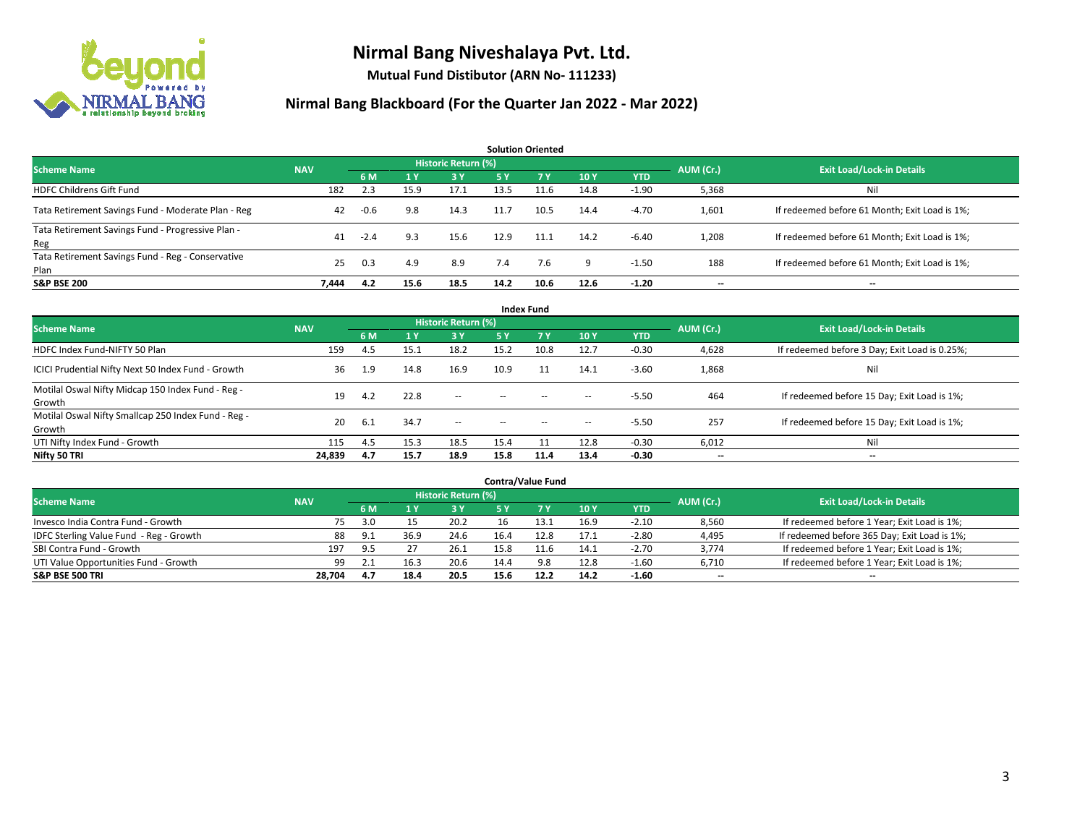

**Mutual Fund Distibutor (ARN No- 111233)**

| <b>Solution Oriented</b>                                  |            |        |                |                     |           |      |      |            |           |                                               |  |  |  |
|-----------------------------------------------------------|------------|--------|----------------|---------------------|-----------|------|------|------------|-----------|-----------------------------------------------|--|--|--|
| <b>Scheme Name</b>                                        | <b>NAV</b> |        |                | Historic Return (%) |           |      |      |            | AUM (Cr.) | <b>Exit Load/Lock-in Details</b>              |  |  |  |
|                                                           |            | 6 M    | 1 <sup>Y</sup> | 3 Y                 | <b>5Y</b> | 7 Y  | 10Y  | <b>YTD</b> |           |                                               |  |  |  |
| <b>HDFC Childrens Gift Fund</b>                           | 182        | 2.3    | 15.9           | 17.1                | 13.5      | 11.6 | 14.8 | $-1.90$    | 5,368     | Nil                                           |  |  |  |
| Tata Retirement Savings Fund - Moderate Plan - Reg        | 42         | $-0.6$ | 9.8            | 14.3                | 11.7      | 10.5 | 14.4 | $-4.70$    | 1,601     | If redeemed before 61 Month; Exit Load is 1%; |  |  |  |
| Tata Retirement Savings Fund - Progressive Plan -<br>Reg  | 41         | $-2.4$ | 9.3            | 15.6                | 12.9      | 11.1 | 14.2 | $-6.40$    | 1,208     | If redeemed before 61 Month; Exit Load is 1%; |  |  |  |
| Tata Retirement Savings Fund - Reg - Conservative<br>Plan | 25         | 0.3    | 4.9            | 8.9                 | 7.4       | 7.6  | 9    | $-1.50$    | 188       | If redeemed before 61 Month; Exit Load is 1%; |  |  |  |
| <b>S&amp;P BSE 200</b>                                    | 7.444      | 4.2    | 15.6           | 18.5                | 14.2      | 10.6 | 12.6 | $-1.20$    | --        | --                                            |  |  |  |

| <b>Index Fund</b>                                             |            |      |                |                            |        |                |       |            |                          |                                               |  |  |  |  |
|---------------------------------------------------------------|------------|------|----------------|----------------------------|--------|----------------|-------|------------|--------------------------|-----------------------------------------------|--|--|--|--|
| <b>Scheme Name</b>                                            | <b>NAV</b> |      |                | <b>Historic Return (%)</b> |        |                |       |            | AUM (Cr.)                | <b>Exit Load/Lock-in Details</b>              |  |  |  |  |
|                                                               |            | 6 M  | 1 <sub>Y</sub> | 3 Y                        | 5 Y    | 7 <sub>V</sub> | 10Y   | <b>YTD</b> |                          |                                               |  |  |  |  |
| HDFC Index Fund-NIFTY 50 Plan                                 | 159        | -4.5 | 15.1           | 18.2                       | 15.2   | 10.8           | 12.7  | $-0.30$    | 4,628                    | If redeemed before 3 Day; Exit Load is 0.25%; |  |  |  |  |
| ICICI Prudential Nifty Next 50 Index Fund - Growth            | 36         | 1.9  | 14.8           | 16.9                       | 10.9   |                | 14.1  | $-3.60$    | 1,868                    | Nil                                           |  |  |  |  |
| Motilal Oswal Nifty Midcap 150 Index Fund - Reg -<br>Growth   | 19         | 4.2  | 22.8           | $\sim$                     | $\sim$ | $\sim$         | $\!-$ | $-5.50$    | 464                      | If redeemed before 15 Day; Exit Load is 1%;   |  |  |  |  |
| Motilal Oswal Nifty Smallcap 250 Index Fund - Reg -<br>Growth | 20         | -6.1 | 34.7           | $\sim$                     | $-$    |                | $\!-$ | $-5.50$    | 257                      | If redeemed before 15 Day; Exit Load is 1%;   |  |  |  |  |
| UTI Nifty Index Fund - Growth                                 | 115        | 4.5  | 15.3           | 18.5                       | 15.4   |                | 12.8  | $-0.30$    | 6,012                    | Nil                                           |  |  |  |  |
| Nifty 50 TRI                                                  | 24,839     | 4.7  | 15.7           | 18.9                       | 15.8   | 11.4           | 13.4  | $-0.30$    | $\overline{\phantom{a}}$ | $\overline{\phantom{a}}$                      |  |  |  |  |

| <b>Contra/Value Fund</b>                |            |     |      |                     |      |      |      |         |           |                                              |  |  |  |
|-----------------------------------------|------------|-----|------|---------------------|------|------|------|---------|-----------|----------------------------------------------|--|--|--|
| <b>Scheme Name</b>                      | <b>NAV</b> |     |      | Historic Return (%) |      |      |      |         | AUM (Cr.) | <b>Exit Load/Lock-in Details</b>             |  |  |  |
|                                         |            | 6 M |      | 3 Y                 |      |      | 10Y  | YTD     |           |                                              |  |  |  |
| Invesco India Contra Fund - Growth      | 75.        | 3.0 |      | 20.2                | 16   | 13.1 | 16.9 | $-2.10$ | 8,560     | If redeemed before 1 Year; Exit Load is 1%;  |  |  |  |
| IDFC Sterling Value Fund - Reg - Growth | 88         | 9.1 | 36.9 | 24.6                | 16.4 | 12.8 | 17.1 | $-2.80$ | 4,495     | If redeemed before 365 Day; Exit Load is 1%; |  |  |  |
| SBI Contra Fund - Growth                | 197        | 9.5 |      | 26.1                | 15.8 |      | 14.1 | $-2.70$ | 3,774     | If redeemed before 1 Year; Exit Load is 1%;  |  |  |  |
| UTI Value Opportunities Fund - Growth   | 99         | 2.1 | 16.3 | 20.6                | 14.4 | 9.8  | 12.8 | $-1.60$ | 6,710     | If redeemed before 1 Year; Exit Load is 1%;  |  |  |  |
| <b>S&amp;P BSE 500 TRI</b>              | 28,704     | 4.7 | 18.4 | 20.5                | 15.6 | 12.2 | 14.2 | $-1.60$ | $- -$     | $- -$                                        |  |  |  |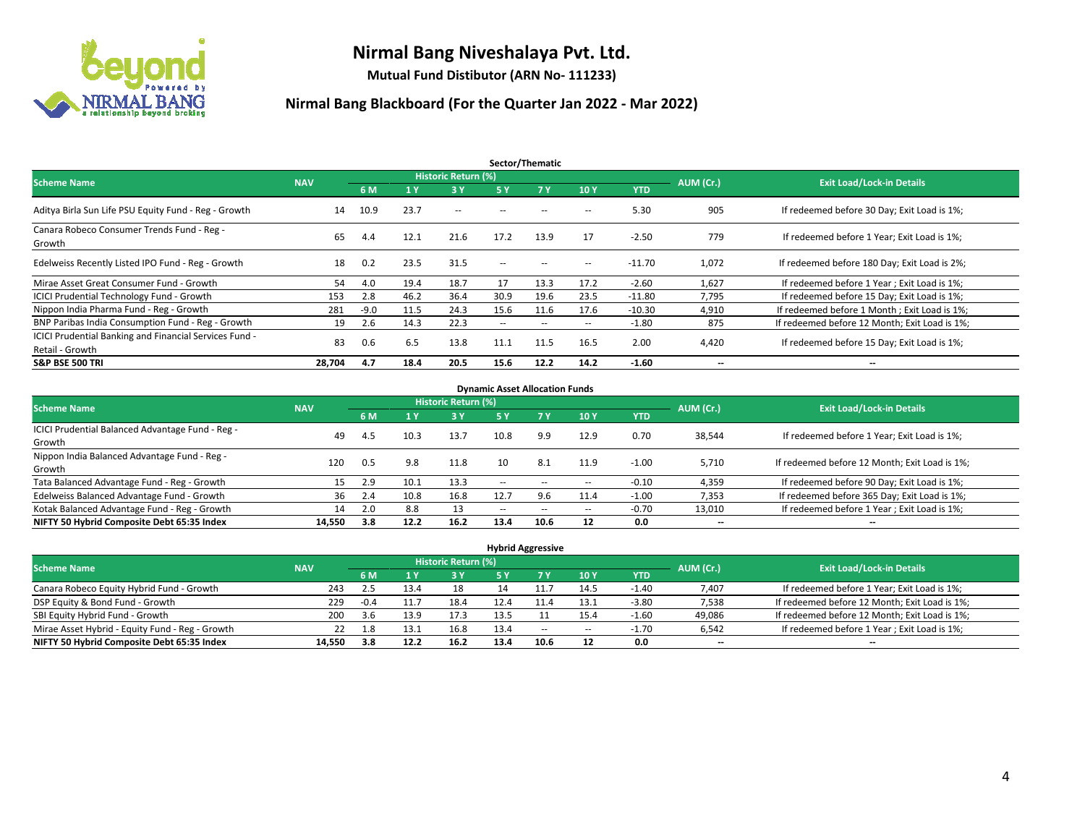

**Mutual Fund Distibutor (ARN No- 111233)**

| Sector/Thematic                                                           |            |        |      |                     |                          |                   |                          |            |                          |                                               |  |  |  |
|---------------------------------------------------------------------------|------------|--------|------|---------------------|--------------------------|-------------------|--------------------------|------------|--------------------------|-----------------------------------------------|--|--|--|
| <b>Scheme Name</b>                                                        | <b>NAV</b> |        |      | Historic Return (%) |                          |                   |                          |            | AUM (Cr.)                | <b>Exit Load/Lock-in Details</b>              |  |  |  |
|                                                                           |            | 6 M    | '1 Y | 3 Y                 | 5 Y                      | 7Y                | 10Y                      | <b>YTD</b> |                          |                                               |  |  |  |
| Aditya Birla Sun Life PSU Equity Fund - Reg - Growth                      | 14         | 10.9   | 23.7 | $\sim$              | $\sim$ $\sim$            | --                | --                       | 5.30       | 905                      | If redeemed before 30 Day; Exit Load is 1%;   |  |  |  |
| Canara Robeco Consumer Trends Fund - Reg -<br>Growth                      | 65         | 4.4    | 12.1 | 21.6                | 17.2                     | 13.9              | 17                       | $-2.50$    | 779                      | If redeemed before 1 Year; Exit Load is 1%;   |  |  |  |
| Edelweiss Recently Listed IPO Fund - Reg - Growth                         | 18         | 0.2    | 23.5 | 31.5                | $\overline{\phantom{a}}$ | $\hspace{0.05cm}$ | --                       | $-11.70$   | 1,072                    | If redeemed before 180 Day; Exit Load is 2%;  |  |  |  |
| Mirae Asset Great Consumer Fund - Growth                                  | 54         | 4.0    | 19.4 | 18.7                | 17                       | 13.3              | 17.2                     | $-2.60$    | 1,627                    | If redeemed before 1 Year; Exit Load is 1%;   |  |  |  |
| <b>ICICI Prudential Technology Fund - Growth</b>                          | 153        | 2.8    | 46.2 | 36.4                | 30.9                     | 19.6              | 23.5                     | $-11.80$   | 7,795                    | If redeemed before 15 Day; Exit Load is 1%;   |  |  |  |
| Nippon India Pharma Fund - Reg - Growth                                   | 281        | $-9.0$ | 11.5 | 24.3                | 15.6                     | 11.6              | 17.6                     | $-10.30$   | 4,910                    | If redeemed before 1 Month; Exit Load is 1%;  |  |  |  |
| BNP Paribas India Consumption Fund - Reg - Growth                         | 19         | 2.6    | 14.3 | 22.3                | $\overline{\phantom{a}}$ | $\sim$            | $\hspace{0.05cm} \ldots$ | $-1.80$    | 875                      | If redeemed before 12 Month; Exit Load is 1%; |  |  |  |
| ICICI Prudential Banking and Financial Services Fund -<br>Retail - Growth | 83         | 0.6    | 6.5  | 13.8                | 11.1                     | 11.5              | 16.5                     | 2.00       | 4,420                    | If redeemed before 15 Day; Exit Load is 1%;   |  |  |  |
| <b>S&amp;P BSE 500 TRI</b>                                                | 28.704     | 4.7    | 18.4 | 20.5                | 15.6                     | 12.2              | 14.2                     | $-1.60$    | $\overline{\phantom{a}}$ | $\overline{\phantom{a}}$                      |  |  |  |

| <b>Dynamic Asset Allocation Funds</b>            |            |      |      |                     |        |                          |                          |         |                          |                                               |  |  |  |
|--------------------------------------------------|------------|------|------|---------------------|--------|--------------------------|--------------------------|---------|--------------------------|-----------------------------------------------|--|--|--|
| <b>Scheme Name</b>                               | <b>NAV</b> |      |      | Historic Return (%) |        |                          |                          |         | AUM (Cr.)                | <b>Exit Load/Lock-in Details</b>              |  |  |  |
|                                                  |            | 6 M  | 4 Y  | 3 Y                 | 5 Y    | 7Y                       | 10Y                      | YTD     |                          |                                               |  |  |  |
| ICICI Prudential Balanced Advantage Fund - Reg - |            |      |      |                     | 10.8   |                          |                          |         |                          |                                               |  |  |  |
| Growth                                           | 49         | -4.5 | 10.3 | 13.7                |        | 9.9                      | 12.9                     | 0.70    | 38,544                   | If redeemed before 1 Year; Exit Load is 1%;   |  |  |  |
| Nippon India Balanced Advantage Fund - Reg -     | 120        | 0.5  | 9.8  | 11.8                | 10     | 8.1                      | 11.9                     | $-1.00$ | 5.710                    | If redeemed before 12 Month; Exit Load is 1%; |  |  |  |
| Growth                                           |            |      |      |                     |        |                          |                          |         |                          |                                               |  |  |  |
| Tata Balanced Advantage Fund - Reg - Growth      | 15         | 2.9  | 10.1 | 13.3                | $\sim$ | $\overline{\phantom{a}}$ | $\hspace{0.05cm} \ldots$ | $-0.10$ | 4,359                    | If redeemed before 90 Day; Exit Load is 1%;   |  |  |  |
| Edelweiss Balanced Advantage Fund - Growth       | 36         | 2.4  | 10.8 | 16.8                | 12.7   | 9.6                      | 11.4                     | $-1.00$ | 7,353                    | If redeemed before 365 Day; Exit Load is 1%;  |  |  |  |
| Kotak Balanced Advantage Fund - Reg - Growth     | 14         | 2.0  | 8.8  | 13                  | $-$    | $\sim$                   | $\!-$                    | $-0.70$ | 13,010                   | If redeemed before 1 Year; Exit Load is 1%;   |  |  |  |
| NIFTY 50 Hybrid Composite Debt 65:35 Index       | 14.550     | 3.8  | 12.2 | 16.2                | 13.4   | 10.6                     | 12                       | 0.0     | $\overline{\phantom{a}}$ | $\overline{\phantom{a}}$                      |  |  |  |

| <b>Hybrid Aggressive</b>                        |            |        |      |                            |      |       |      |         |                          |                                               |  |  |  |
|-------------------------------------------------|------------|--------|------|----------------------------|------|-------|------|---------|--------------------------|-----------------------------------------------|--|--|--|
| <b>Scheme Name</b>                              | <b>NAV</b> |        |      | <b>Historic Return (%)</b> |      |       |      |         | AUM (Cr.)                | <b>Exit Load/Lock-in Details</b>              |  |  |  |
|                                                 |            | 6 M    |      | 3V                         | 5 Y  |       | 10Y  | YTD     |                          |                                               |  |  |  |
| Canara Robeco Equity Hybrid Fund - Growth       | 243        | 2.5    | 13.4 | 18                         |      |       | 14.5 | $-1.40$ | 7,407                    | If redeemed before 1 Year; Exit Load is 1%;   |  |  |  |
| DSP Equity & Bond Fund - Growth                 | 229        | $-0.4$ | 11.  | 18.4                       | 12.4 |       | 13.1 | $-3.80$ | 7,538                    | If redeemed before 12 Month; Exit Load is 1%; |  |  |  |
| SBI Equity Hybrid Fund - Growth                 | 200        | 3.6    | 13.9 | 17.3                       | 13.5 |       | 15.4 | $-1.60$ | 49,086                   | If redeemed before 12 Month; Exit Load is 1%; |  |  |  |
| Mirae Asset Hybrid - Equity Fund - Reg - Growth | 22         | 1.8    | 13.1 | 16.8                       | 13.4 | $- -$ | --   | $-1.70$ | 6,542                    | If redeemed before 1 Year; Exit Load is 1%;   |  |  |  |
| NIFTY 50 Hybrid Composite Debt 65:35 Index      | 14,550     | 3.8    | 12.2 | 16.2                       | 13.4 | 10.6  | 12   | 0.0     | $\overline{\phantom{a}}$ | $\overline{\phantom{a}}$                      |  |  |  |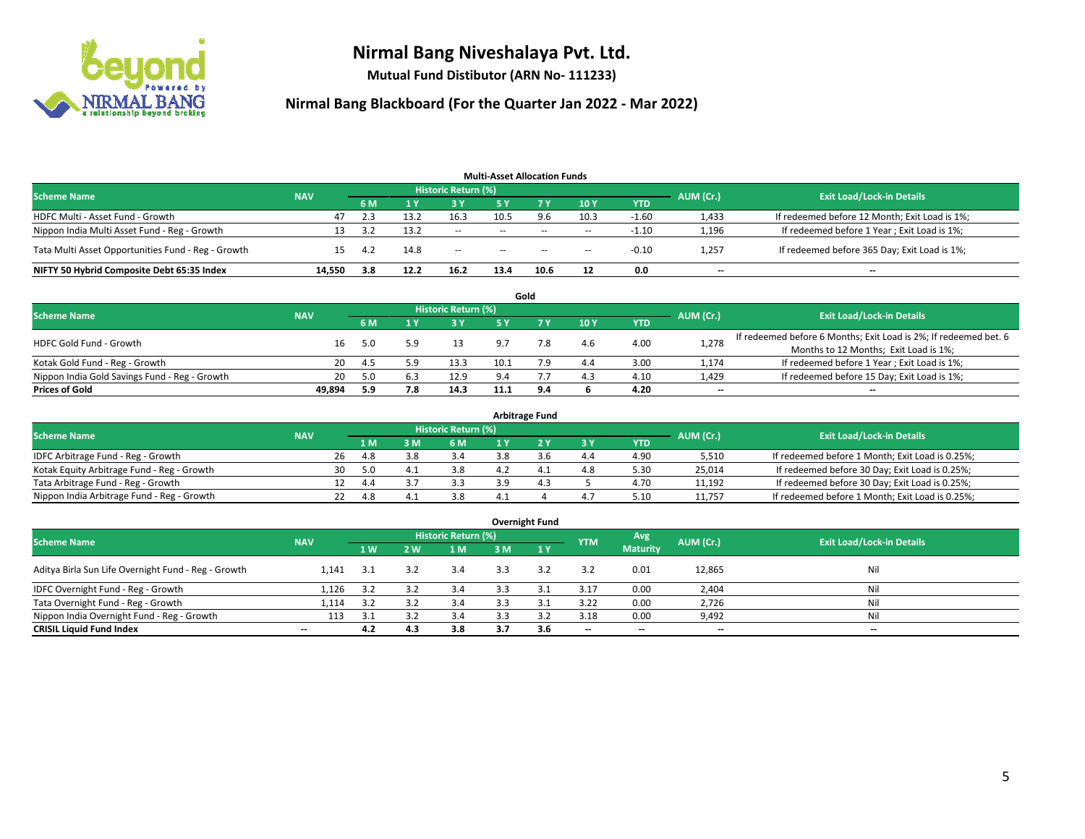

**Mutual Fund Distibutor (ARN No- 111233)**

|                                                    |            |      |      |                            | <b>Multi-Asset Allocation Funds</b> |        |                          |            |                          |                                               |
|----------------------------------------------------|------------|------|------|----------------------------|-------------------------------------|--------|--------------------------|------------|--------------------------|-----------------------------------------------|
| <b>Scheme Name</b>                                 | <b>NAV</b> |      |      | <b>Historic Return (%)</b> |                                     |        |                          |            | AUM (Cr.)                | <b>Exit Load/Lock-in Details</b>              |
|                                                    |            | 6 M  |      | <b>3 Y</b>                 | 5 Y                                 | 7 Y.   | 10Y                      | <b>YTD</b> |                          |                                               |
| HDFC Multi - Asset Fund - Growth                   | 47         | 2.3  | 13.2 | 16.3                       | 10.5                                | 9.6    | 10.3                     | $-1.60$    | 1,433                    | If redeemed before 12 Month; Exit Load is 1%; |
| Nippon India Multi Asset Fund - Reg - Growth       | 13         | 3.2  | 13.2 | $\sim$                     | $\sim$                              | $-$    | $\sim$                   | $-1.10$    | 1,196                    | If redeemed before 1 Year; Exit Load is 1%;   |
| Tata Multi Asset Opportunities Fund - Reg - Growth | 15         | -4.2 | 14.8 | $\sim$                     | $\sim$                              | $\sim$ | $\overline{\phantom{a}}$ | $-0.10$    | 1,257                    | If redeemed before 365 Day; Exit Load is 1%;  |
| NIFTY 50 Hybrid Composite Debt 65:35 Index         | 14.550     | 3.8  | 12.2 | 16.2                       | 13.4                                | 10.6   | 12                       | 0.0        | $\overline{\phantom{a}}$ | --                                            |

|                                               |            |     |     |                            |      | Gold |     |            |           |                                                                  |
|-----------------------------------------------|------------|-----|-----|----------------------------|------|------|-----|------------|-----------|------------------------------------------------------------------|
| <b>Scheme Name</b>                            | <b>NAV</b> |     |     | <b>Historic Return (%)</b> |      |      |     |            | AUM (Cr.) | <b>Exit Load/Lock-in Details</b>                                 |
|                                               |            |     |     | <b>3 Y</b>                 |      |      | 10Y | <b>YTD</b> |           |                                                                  |
| <b>HDFC Gold Fund - Growth</b>                | 16         |     |     | 13                         | 9.7  |      | 4.6 | 4.00       | 1,278     | If redeemed before 6 Months; Exit Load is 2%; If redeemed bet. 6 |
|                                               |            | 5.0 |     |                            |      |      |     |            |           | Months to 12 Months; Exit Load is 1%;                            |
| Kotak Gold Fund - Reg - Growth                | 20         | 4.5 |     | 13.3                       | 10.1 |      | 4.4 | 3.00       | 1,174     | If redeemed before 1 Year; Exit Load is 1%;                      |
| Nippon India Gold Savings Fund - Reg - Growth | 20         | 5.0 | 6.3 | 12.9                       | 9.4  |      | 4.3 | 4.10       | 1,429     | If redeemed before 15 Day; Exit Load is 1%;                      |
| <b>Prices of Gold</b>                         | 49.894     | 5.9 | 7.8 | 14.3                       | 11.1 | 9.4  |     | 4.20       | $- -$     | $\overline{\phantom{a}}$                                         |

| <b>Arbitrage Fund</b>                      |            |                                  |     |     |     |     |  |     |            |        |                                                 |  |  |
|--------------------------------------------|------------|----------------------------------|-----|-----|-----|-----|--|-----|------------|--------|-------------------------------------------------|--|--|
| <b>Scheme Name</b>                         | AUM (Cr.)  | <b>Exit Load/Lock-in Details</b> |     |     |     |     |  |     |            |        |                                                 |  |  |
|                                            | <b>NAV</b> |                                  | 1 M | : M | 6 M |     |  | 3Y  | <b>YTD</b> |        |                                                 |  |  |
| IDFC Arbitrage Fund - Reg - Growth         |            | 26                               | 4.8 |     | 3.4 | 3.8 |  | 4.4 | 4.90       | 5,510  | If redeemed before 1 Month; Exit Load is 0.25%; |  |  |
| Kotak Equity Arbitrage Fund - Reg - Growth |            | 30                               | 5.0 | 4.  | 3.8 |     |  | 4.8 | 5.30       | 25.014 | If redeemed before 30 Day; Exit Load is 0.25%;  |  |  |
| Tata Arbitrage Fund - Reg - Growth         |            |                                  |     |     | 3.3 |     |  |     | 4.70       | 11.192 | If redeemed before 30 Day; Exit Load is 0.25%;  |  |  |
| Nippon India Arbitrage Fund - Reg - Growth |            |                                  | 4.8 |     | 3.8 |     |  | 4.7 | 5.10       | 11.757 | If redeemed before 1 Month; Exit Load is 0.25%; |  |  |

|                                                     |                          |     |     |                            |     | <b>Overnight Fund</b> |                          |                 |                          |                                  |
|-----------------------------------------------------|--------------------------|-----|-----|----------------------------|-----|-----------------------|--------------------------|-----------------|--------------------------|----------------------------------|
| <b>Scheme Name</b>                                  | <b>NAV</b>               |     |     | <b>Historic Return (%)</b> |     |                       | <b>YTM</b>               | Avg             | AUM (Cr.)                | <b>Exit Load/Lock-in Details</b> |
|                                                     |                          | 1W  | 2 W | 1 M                        | 3 M | 1Y                    |                          | <b>Maturity</b> |                          |                                  |
| Aditya Birla Sun Life Overnight Fund - Reg - Growth | 1.141                    | 3.1 | 3.2 | 3.4                        | 3.3 | 3.2                   | 3.2                      | 0.01            | 12,865                   | Nil                              |
| IDFC Overnight Fund - Reg - Growth                  | 1,126                    | 3.2 | 3.2 | 3.4                        | 3.3 | 3.1                   | 3.17                     | 0.00            | 2,404                    | Nil                              |
| Tata Overnight Fund - Reg - Growth                  | 1,114                    | 3.2 |     | 3.4                        | 3.3 |                       | 3.22                     | 0.00            | 2,726                    | Nil                              |
| Nippon India Overnight Fund - Reg - Growth          | 113                      | 3.1 |     | 3.4                        |     |                       | 3.18                     | 0.00            | 9,492                    | Nil                              |
| <b>CRISIL Liquid Fund Index</b>                     | $\overline{\phantom{a}}$ | 4.2 | 4.3 | 3.8                        | 3.7 | 3.6                   | $\overline{\phantom{a}}$ | $- -$           | $\overline{\phantom{a}}$ | $-$                              |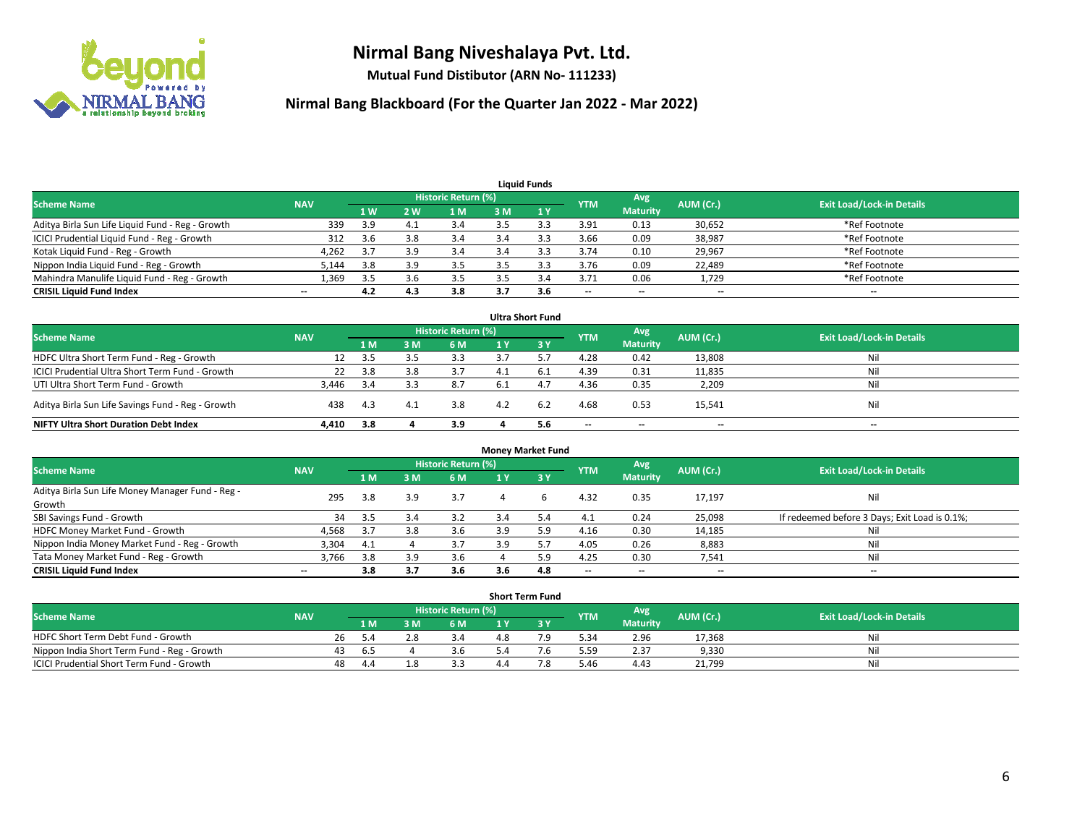

**Mutual Fund Distibutor (ARN No- 111233)**

| <b>Liquid Funds</b>                              |                          |                |     |                            |     |     |                          |                          |           |                                  |  |  |  |
|--------------------------------------------------|--------------------------|----------------|-----|----------------------------|-----|-----|--------------------------|--------------------------|-----------|----------------------------------|--|--|--|
| <b>Scheme Name</b>                               | <b>NAV</b>               |                |     | <b>Historic Return (%)</b> |     |     | <b>YTM</b>               | Avg                      | AUM (Cr.) | <b>Exit Load/Lock-in Details</b> |  |  |  |
|                                                  |                          | 1 <sub>W</sub> | 2 W | 1 M                        | 3 M |     |                          | <b>Maturity</b>          |           |                                  |  |  |  |
| Aditya Birla Sun Life Liquid Fund - Reg - Growth | 339                      | 3.9            | 4.1 | 3.4                        |     |     | 3.91                     | 0.13                     | 30,652    | *Ref Footnote                    |  |  |  |
| ICICI Prudential Liquid Fund - Reg - Growth      | 312                      | 3.6            | 3.8 | 3.4                        | 3.4 |     | 3.66                     | 0.09                     | 38,987    | *Ref Footnote                    |  |  |  |
| Kotak Liquid Fund - Reg - Growth                 | 4,262                    | 3.7            | 3.9 | 3.4                        |     |     | 3.74                     | 0.10                     | 29,967    | *Ref Footnote                    |  |  |  |
| Nippon India Liquid Fund - Reg - Growth          | 5,144                    | 3.8            | 3.9 | 3.5                        |     |     | 3.76                     | 0.09                     | 22,489    | *Ref Footnote                    |  |  |  |
| Mahindra Manulife Liquid Fund - Reg - Growth     | 1.369                    | 3.5            | 3.b | 3.5                        |     | 3.4 | 3.71                     | 0.06                     | 1,729     | *Ref Footnote                    |  |  |  |
| <b>CRISIL Liquid Fund Index</b>                  | $\overline{\phantom{a}}$ | 4.2            | 4.3 | 3.8                        | 3.7 | 3.6 | $\overline{\phantom{a}}$ | $\overline{\phantom{a}}$ | $- -$     | $- -$                            |  |  |  |

| <b>Ultra Short Fund</b>                           |            |      |     |                            |      |           |            |                          |           |                                  |  |  |  |
|---------------------------------------------------|------------|------|-----|----------------------------|------|-----------|------------|--------------------------|-----------|----------------------------------|--|--|--|
| <b>Scheme Name</b>                                | <b>NAV</b> |      |     | <b>Historic Return (%)</b> |      |           | <b>YTM</b> | Avg                      | AUM (Cr.) | <b>Exit Load/Lock-in Details</b> |  |  |  |
|                                                   |            | 1 M  | 3 M | 6 M                        |      | <b>3Y</b> |            | <b>Maturity</b>          |           |                                  |  |  |  |
| HDFC Ultra Short Term Fund - Reg - Growth         | 12         | -3.5 |     | 3.3                        |      |           | 4.28       | 0.42                     | 13,808    | Nil                              |  |  |  |
| ICICI Prudential Ultra Short Term Fund - Growth   | 22         | 3.8  | 3.8 | 3.7                        | 4.1  | 6.1       | 4.39       | 0.31                     | 11,835    | Nil                              |  |  |  |
| UTI Ultra Short Term Fund - Growth                | 3.446      | -3.4 |     | 8.7                        | -6.1 | 4.1       | 4.36       | 0.35                     | 2,209     | Nil                              |  |  |  |
| Aditya Birla Sun Life Savings Fund - Reg - Growth | 438        | 4.3  | 4.1 | 3.8                        | 4.2  | 6.2       | 4.68       | 0.53                     | 15,541    | Nil                              |  |  |  |
| <b>NIFTY Ultra Short Duration Debt Index</b>      | 4,410      | 3.8  |     | 3.9                        |      | 5.6       | $-$        | $\overline{\phantom{a}}$ | $- -$     | $- -$                            |  |  |  |

| <b>Money Market Fund</b>                         |            |     |     |                     |     |     |                          |                          |           |                                               |  |  |  |
|--------------------------------------------------|------------|-----|-----|---------------------|-----|-----|--------------------------|--------------------------|-----------|-----------------------------------------------|--|--|--|
| <b>Scheme Name</b>                               | <b>NAV</b> |     |     | Historic Return (%) |     |     | <b>YTM</b>               | Avg                      | AUM (Cr.) | <b>Exit Load/Lock-in Details</b>              |  |  |  |
|                                                  |            | 1 M | 3 M | 6 M                 |     | 3Y  |                          | <b>Maturity</b>          |           |                                               |  |  |  |
| Aditya Birla Sun Life Money Manager Fund - Reg - | 295        | 3.8 | 3.9 | 3.7                 |     | h   | 4.32                     | 0.35                     | 17,197    | Nil                                           |  |  |  |
| Growth                                           |            |     |     |                     |     |     |                          |                          |           |                                               |  |  |  |
| SBI Savings Fund - Growth                        | 34         |     | 3.4 | 3.2                 | 3.4 | 5.4 | 4.1                      | 0.24                     | 25,098    | If redeemed before 3 Days; Exit Load is 0.1%; |  |  |  |
| HDFC Money Market Fund - Growth                  | 4,568      | 3.7 | 3.8 | 3.6                 | 3.9 | 5.9 | 4.16                     | 0.30                     | 14,185    | Nil                                           |  |  |  |
| Nippon India Money Market Fund - Reg - Growth    | 3,304      | 4.1 |     | 3.7                 | 3.9 |     | 4.05                     | 0.26                     | 8,883     | Nil                                           |  |  |  |
| Tata Money Market Fund - Reg - Growth            | 3,766      | 3.8 | 3.9 | 3.6                 |     | 5.9 | 4.25                     | 0.30                     | 7,541     | Nil                                           |  |  |  |
| <b>CRISIL Liquid Fund Index</b>                  | $- -$      | 3.8 | 3.7 | 3.6                 | 3.6 | 4.8 | $\overline{\phantom{a}}$ | $\overline{\phantom{a}}$ | $- -$     | $- -$                                         |  |  |  |

| <b>Short Term Fund</b>                      |            |    |                                          |  |           |                                  |  |      |                 |        |     |  |  |  |
|---------------------------------------------|------------|----|------------------------------------------|--|-----------|----------------------------------|--|------|-----------------|--------|-----|--|--|--|
| Scheme Name                                 | <b>NAV</b> |    | Historic Return (%)<br>Avg<br><b>YTM</b> |  | AUM (Cr.) | <b>Exit Load/Lock-in Details</b> |  |      |                 |        |     |  |  |  |
|                                             |            |    | 1 M I                                    |  | 6 M       |                                  |  |      | <b>Maturity</b> |        |     |  |  |  |
| HDFC Short Term Debt Fund - Growth          |            | 26 |                                          |  |           | 4.O                              |  | 5.34 | 2.96            | 17,368 | Nil |  |  |  |
| Nippon India Short Term Fund - Reg - Growth |            | 43 | 6.5                                      |  | 3.b       |                                  |  | 5.59 | 2.37            | 9,330  | Nil |  |  |  |
| ICICI Prudential Short Term Fund - Growth   |            | 48 | 4.4                                      |  |           | 4.4                              |  | 5.46 | 4.43            | 21,799 | Nil |  |  |  |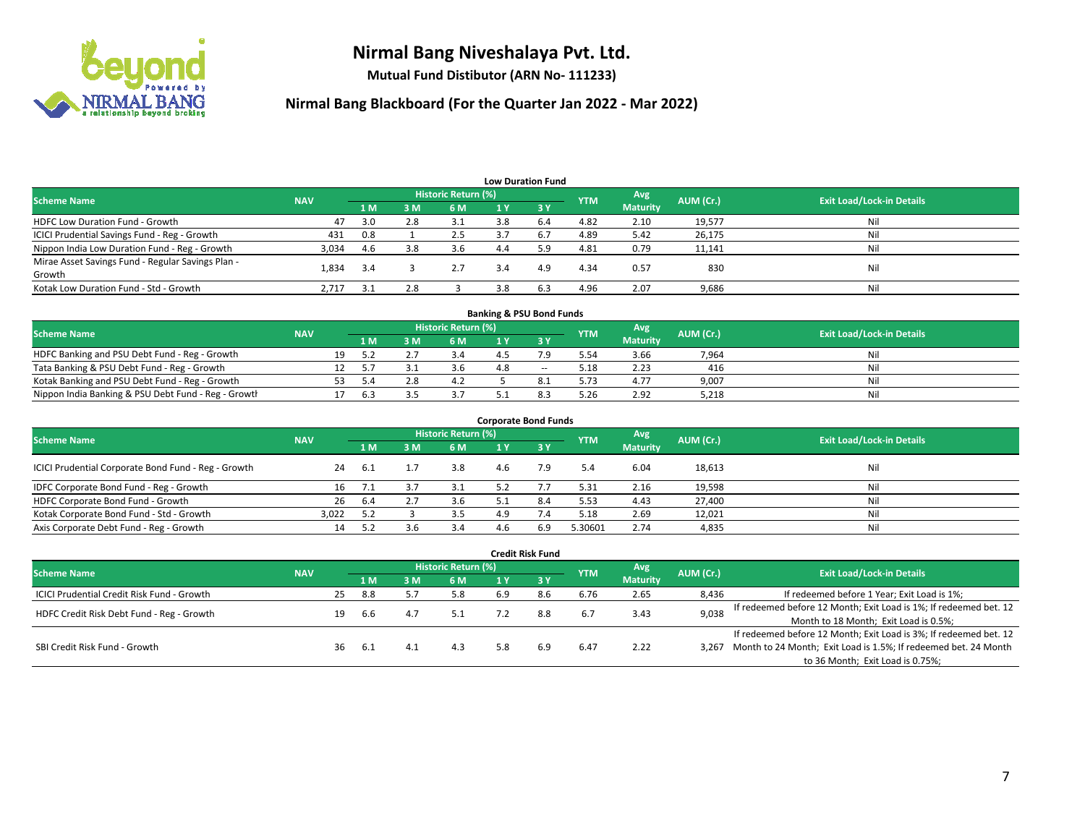

**Mutual Fund Distibutor (ARN No- 111233)**

| <b>Low Duration Fund</b>                          |            |     |     |                     |     |                               |            |                 |           |                                  |  |  |  |
|---------------------------------------------------|------------|-----|-----|---------------------|-----|-------------------------------|------------|-----------------|-----------|----------------------------------|--|--|--|
| <b>Scheme Name</b>                                | <b>NAV</b> |     |     | Historic Return (%) |     |                               | <b>YTM</b> | Avg             | AUM (Cr.) | <b>Exit Load/Lock-in Details</b> |  |  |  |
|                                                   |            | 1 M | 3M  | 6 M                 | 1 Y | $\overline{3}$ $\overline{V}$ |            | <b>Maturity</b> |           |                                  |  |  |  |
| <b>HDFC Low Duration Fund - Growth</b>            | 47         | 3.0 | 2.8 | 3.1                 | 3.8 | 6.4                           | 4.82       | 2.10            | 19,577    | Nil                              |  |  |  |
| ICICI Prudential Savings Fund - Reg - Growth      | 431        | 0.8 |     | 2.5                 | 3.7 | 6.7                           | 4.89       | 5.42            | 26,175    | Nil                              |  |  |  |
| Nippon India Low Duration Fund - Reg - Growth     | 3,034      | 4.6 | 3.8 | 3.6                 | 4.4 | 5.9                           | 4.81       | 0.79            | 11,141    | Nil                              |  |  |  |
| Mirae Asset Savings Fund - Regular Savings Plan - | 1.834      | 3.4 |     | 2.7                 | 3.4 | 4.9                           | 4.34       | 0.57            | 830       | Nil                              |  |  |  |
| Growth                                            |            |     |     |                     |     |                               |            |                 |           |                                  |  |  |  |
| Kotak Low Duration Fund - Std - Growth            | 2,717      | 3.1 | 2.8 |                     |     |                               | 4.96       | 2.07            | 9,686     | Nil                              |  |  |  |

| <b>Banking &amp; PSU Bond Funds</b>                 |            |    |     |  |                     |  |        |            |                 |           |                                  |  |  |
|-----------------------------------------------------|------------|----|-----|--|---------------------|--|--------|------------|-----------------|-----------|----------------------------------|--|--|
| <b>Scheme Name</b>                                  | <b>NAV</b> |    |     |  | Historic Return (%) |  |        | <b>YTM</b> | Avg             | AUM (Cr.) | <b>Exit Load/Lock-in Details</b> |  |  |
|                                                     |            |    | 1 M |  | 6 M                 |  |        |            | <b>Maturity</b> |           |                                  |  |  |
| HDFC Banking and PSU Debt Fund - Reg - Growth       |            | 19 |     |  | 3.4                 |  |        | 5.54       | 3.66            | 7,964     | Nil                              |  |  |
| Tata Banking & PSU Debt Fund - Reg - Growth         |            |    |     |  | 3.6                 |  | $\sim$ | 5.18       | 2.23            | 416       | Nil                              |  |  |
| Kotak Banking and PSU Debt Fund - Reg - Growth      |            |    | ς Λ |  | 4.4                 |  |        | 5.73       | 4.77            | 9,007     | Nil                              |  |  |
| Nippon India Banking & PSU Debt Fund - Reg - Growth |            |    | 6.3 |  |                     |  |        | 5.26       | 2.92            | 5.218     | Nil                              |  |  |

| <b>Corporate Bond Funds</b>                         |            |     |     |                            |     |      |            |                        |           |                                  |  |
|-----------------------------------------------------|------------|-----|-----|----------------------------|-----|------|------------|------------------------|-----------|----------------------------------|--|
| <b>Scheme Name</b>                                  | <b>NAV</b> |     |     | <b>Historic Return (%)</b> |     |      | <b>YTM</b> | Avg<br><b>Maturity</b> | AUM (Cr.) | <b>Exit Load/Lock-in Details</b> |  |
|                                                     |            | 1 M | 3 M | 6 M                        | 1 Y | -3 Y |            |                        |           |                                  |  |
| ICICI Prudential Corporate Bond Fund - Reg - Growth | 24         | 6.1 |     | 3.8                        | 4.6 | 7.9  | 5.4        | 6.04                   | 18,613    | Nil                              |  |
| IDFC Corporate Bond Fund - Reg - Growth             | 16         |     |     | 3.1                        | 5.2 |      | 5.31       | 2.16                   | 19,598    | Nil                              |  |
| HDFC Corporate Bond Fund - Growth                   | 26         | 6.4 |     | 3.6                        |     | 8.4  | 5.53       | 4.43                   | 27,400    | Nil                              |  |
| Kotak Corporate Bond Fund - Std - Growth            | 3,022      | 5.2 |     | 3.5                        | 49  |      | 5.18       | 2.69                   | 12,021    | Nil                              |  |
| Axis Corporate Debt Fund - Reg - Growth             | 14         | 5.2 |     | 3.4                        |     | 6.9  | 5.30601    | 2.74                   | 4,835     | Nil                              |  |

|                                                   |            |    |      |                            |     |     | <b>Credit Risk Fund</b> |            |                 |           |                                                                       |
|---------------------------------------------------|------------|----|------|----------------------------|-----|-----|-------------------------|------------|-----------------|-----------|-----------------------------------------------------------------------|
| <b>Scheme Name</b>                                | <b>NAV</b> |    |      | <b>Historic Return (%)</b> |     |     |                         | <b>YTM</b> | Avg             | AUM (Cr.) | <b>Exit Load/Lock-in Details</b>                                      |
|                                                   |            |    | 1 M  | 3 M                        | 6 M | 1 Y | $\sqrt{3}$ $\sqrt{2}$   |            | <b>Maturity</b> |           |                                                                       |
| <b>ICICI Prudential Credit Risk Fund - Growth</b> |            | 25 | 8.8  |                            | 5.8 | 6.9 | 8.6                     | 6.76       | 2.65            | 8,436     | If redeemed before 1 Year; Exit Load is 1%;                           |
| HDFC Credit Risk Debt Fund - Reg - Growth         |            | 19 |      | 4.7                        | 5.1 |     | 8.8                     | 6.7        | 3.43            | 9,038     | If redeemed before 12 Month; Exit Load is 1%; If redeemed bet. 12     |
|                                                   |            |    | 6.6  |                            |     |     |                         |            |                 |           | Month to 18 Month; Exit Load is 0.5%;                                 |
| SBI Credit Risk Fund - Growth                     |            |    |      |                            |     |     |                         |            |                 |           | If redeemed before 12 Month; Exit Load is 3%; If redeemed bet. 12     |
|                                                   |            | 36 | -6.1 | 4.1                        | 4.3 | 5.8 | 6.9                     | 6.47       | 2.22            |           | 3,267 Month to 24 Month; Exit Load is 1.5%; If redeemed bet. 24 Month |
|                                                   |            |    |      |                            |     |     |                         |            |                 |           | to 36 Month; Exit Load is 0.75%;                                      |